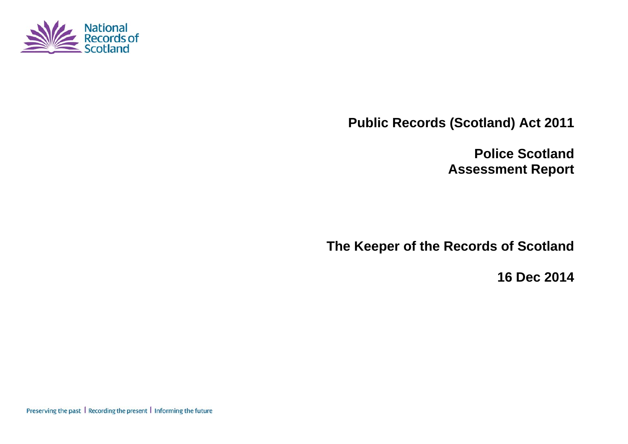

**Public Records (Scotland) Act 2011** 

**Police Scotland Assessment Report** 

**The Keeper of the Records of Scotland** 

**16 Dec 2014** 

Preserving the past | Recording the present | Informing the future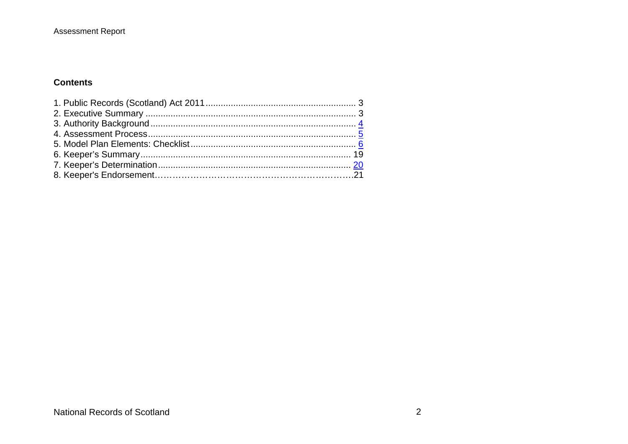## **Assessment Report**

## **Contents**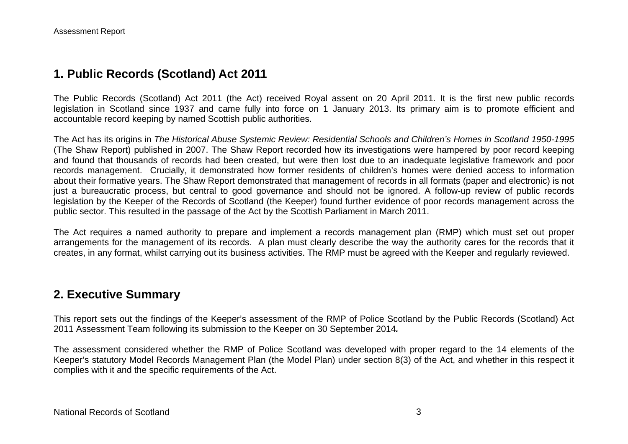# **1. Public Records (Scotland) Act 2011**

The Public Records (Scotland) Act 2011 (the Act) received Royal assent on 20 April 2011. It is the first new public records legislation in Scotland since 1937 and came fully into force on 1 January 2013. Its primary aim is to promote efficient and accountable record keeping by named Scottish public authorities.

The Act has its origins in *The Historical Abuse Systemic Review: Residential Schools and Children's Homes in Scotland 1950-1995* (The Shaw Report) published in 2007. The Shaw Report recorded how its investigations were hampered by poor record keeping and found that thousands of records had been created, but were then lost due to an inadequate legislative framework and poor records management. Crucially, it demonstrated how former residents of children's homes were denied access to information about their formative years. The Shaw Report demonstrated that management of records in all formats (paper and electronic) is not just a bureaucratic process, but central to good governance and should not be ignored. A follow-up review of public records legislation by the Keeper of the Records of Scotland (the Keeper) found further evidence of poor records management across the public sector. This resulted in the passage of the Act by the Scottish Parliament in March 2011.

The Act requires a named authority to prepare and implement a records management plan (RMP) which must set out proper arrangements for the management of its records. A plan must clearly describe the way the authority cares for the records that it creates, in any format, whilst carrying out its business activities. The RMP must be agreed with the Keeper and regularly reviewed.

# **2. Executive Summary**

This report sets out the findings of the Keeper's assessment of the RMP of Police Scotland by the Public Records (Scotland) Act 2011 Assessment Team following its submission to the Keeper on 30 September 2014*.*

The assessment considered whether the RMP of Police Scotland was developed with proper regard to the 14 elements of the Keeper's statutory Model Records Management Plan (the Model Plan) under section 8(3) of the Act, and whether in this respect it complies with it and the specific requirements of the Act.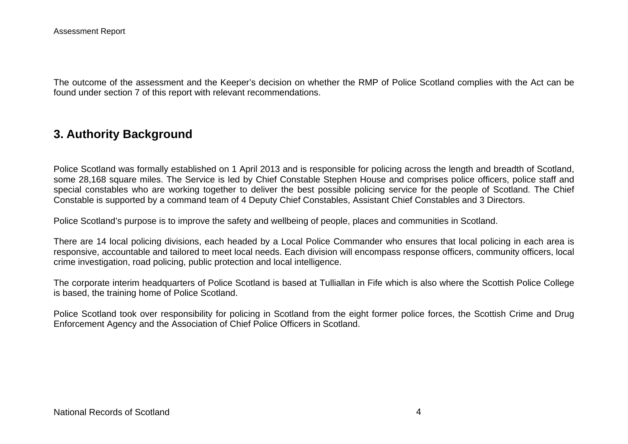The outcome of the assessment and the Keeper's decision on whether the RMP of Police Scotland complies with the Act can be found under section 7 of this report with relevant recommendations.

## **3. Authority Background**

Police Scotland was formally established on 1 April 2013 and is responsible for policing across the length and breadth of Scotland, some 28,168 square miles. The Service is led by Chief Constable Stephen House and comprises police officers, police staff and special constables who are working together to deliver the best possible policing service for the people of Scotland. The Chief Constable is supported by a command team of 4 Deputy Chief Constables, Assistant Chief Constables and 3 Directors.

Police Scotland's purpose is to improve the safety and wellbeing of people, places and communities in Scotland.

There are 14 local policing divisions, each headed by a Local Police Commander who ensures that local policing in each area is responsive, accountable and tailored to meet local needs. Each division will encompass response officers, community officers, local crime investigation, road policing, public protection and local intelligence.

The corporate interim headquarters of Police Scotland is based at Tulliallan in Fife which is also where the Scottish Police College is based, the training home of Police Scotland.

Police Scotland took over responsibility for policing in Scotland from the eight former police forces, the Scottish Crime and Drug Enforcement Agency and the Association of Chief Police Officers in Scotland.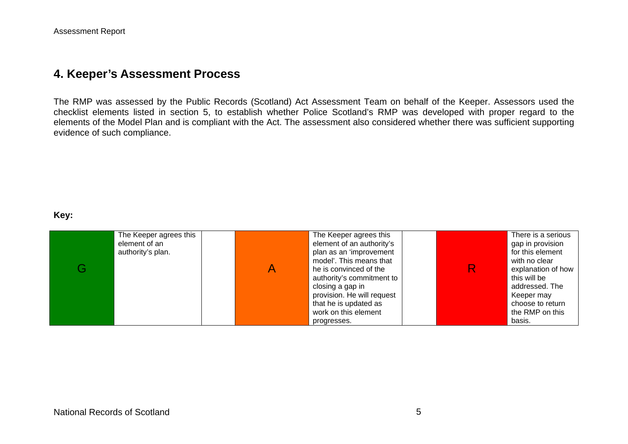## **4. Keeper's Assessment Process**

The RMP was assessed by the Public Records (Scotland) Act Assessment Team on behalf of the Keeper. Assessors used the checklist elements listed in section 5, to establish whether Police Scotland's RMP was developed with proper regard to the elements of the Model Plan and is compliant with the Act. The assessment also considered whether there was sufficient supporting evidence of such compliance.

#### **Key:**

| G | The Keeper agrees this<br>element of an<br>authority's plan. | The Keeper agrees this<br>element of an authority's<br>plan as an 'improvement<br>model'. This means that<br>he is convinced of the<br>authority's commitment to<br>closing a gap in<br>provision. He will request<br>that he is updated as<br>work on this element | There is a serious<br>gap in provision<br>for this element<br>with no clear<br>explanation of how<br>this will be<br>addressed. The<br>Keeper may<br>choose to return<br>the RMP on this |
|---|--------------------------------------------------------------|---------------------------------------------------------------------------------------------------------------------------------------------------------------------------------------------------------------------------------------------------------------------|------------------------------------------------------------------------------------------------------------------------------------------------------------------------------------------|
|   |                                                              | progresses.                                                                                                                                                                                                                                                         | basis.                                                                                                                                                                                   |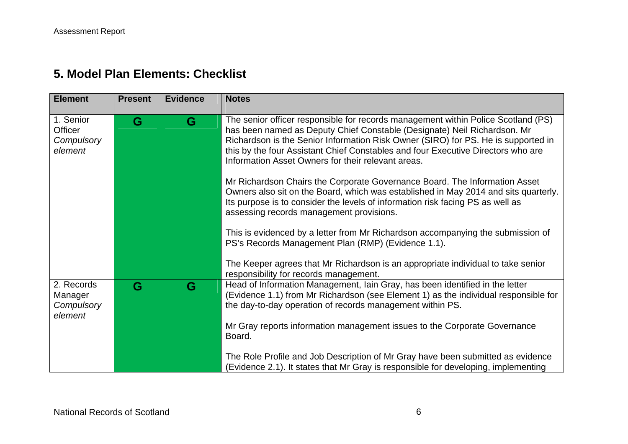# **5. Model Plan Elements: Checklist**

| <b>Element</b>                                 | <b>Present</b> | <b>Evidence</b> | <b>Notes</b>                                                                                                                                                                                                                                                                                                                                                                                 |
|------------------------------------------------|----------------|-----------------|----------------------------------------------------------------------------------------------------------------------------------------------------------------------------------------------------------------------------------------------------------------------------------------------------------------------------------------------------------------------------------------------|
| 1. Senior<br>Officer<br>Compulsory<br>element  | G              | G               | The senior officer responsible for records management within Police Scotland (PS)<br>has been named as Deputy Chief Constable (Designate) Neil Richardson. Mr<br>Richardson is the Senior Information Risk Owner (SIRO) for PS. He is supported in<br>this by the four Assistant Chief Constables and four Executive Directors who are<br>Information Asset Owners for their relevant areas. |
|                                                |                |                 | Mr Richardson Chairs the Corporate Governance Board. The Information Asset<br>Owners also sit on the Board, which was established in May 2014 and sits quarterly.<br>Its purpose is to consider the levels of information risk facing PS as well as<br>assessing records management provisions.                                                                                              |
|                                                |                |                 | This is evidenced by a letter from Mr Richardson accompanying the submission of<br>PS's Records Management Plan (RMP) (Evidence 1.1).                                                                                                                                                                                                                                                        |
|                                                |                |                 | The Keeper agrees that Mr Richardson is an appropriate individual to take senior<br>responsibility for records management.                                                                                                                                                                                                                                                                   |
| 2. Records<br>Manager<br>Compulsory<br>element | G              | G               | Head of Information Management, Iain Gray, has been identified in the letter<br>(Evidence 1.1) from Mr Richardson (see Element 1) as the individual responsible for<br>the day-to-day operation of records management within PS.                                                                                                                                                             |
|                                                |                |                 | Mr Gray reports information management issues to the Corporate Governance<br>Board.                                                                                                                                                                                                                                                                                                          |
|                                                |                |                 | The Role Profile and Job Description of Mr Gray have been submitted as evidence<br>(Evidence 2.1). It states that Mr Gray is responsible for developing, implementing                                                                                                                                                                                                                        |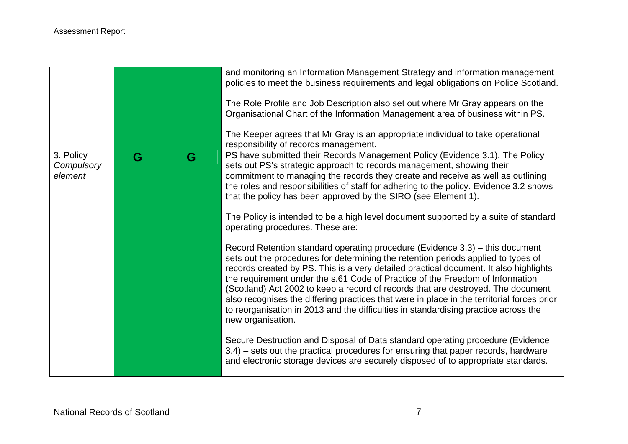|                                    |   |   | and monitoring an Information Management Strategy and information management<br>policies to meet the business requirements and legal obligations on Police Scotland.<br>The Role Profile and Job Description also set out where Mr Gray appears on the<br>Organisational Chart of the Information Management area of business within PS.<br>The Keeper agrees that Mr Gray is an appropriate individual to take operational<br>responsibility of records management.                                                                                                                                                                                                                                                        |
|------------------------------------|---|---|-----------------------------------------------------------------------------------------------------------------------------------------------------------------------------------------------------------------------------------------------------------------------------------------------------------------------------------------------------------------------------------------------------------------------------------------------------------------------------------------------------------------------------------------------------------------------------------------------------------------------------------------------------------------------------------------------------------------------------|
| 3. Policy<br>Compulsory<br>element | G | G | PS have submitted their Records Management Policy (Evidence 3.1). The Policy<br>sets out PS's strategic approach to records management, showing their<br>commitment to managing the records they create and receive as well as outlining<br>the roles and responsibilities of staff for adhering to the policy. Evidence 3.2 shows<br>that the policy has been approved by the SIRO (see Element 1).<br>The Policy is intended to be a high level document supported by a suite of standard<br>operating procedures. These are:                                                                                                                                                                                             |
|                                    |   |   | Record Retention standard operating procedure (Evidence 3.3) – this document<br>sets out the procedures for determining the retention periods applied to types of<br>records created by PS. This is a very detailed practical document. It also highlights<br>the requirement under the s.61 Code of Practice of the Freedom of Information<br>(Scotland) Act 2002 to keep a record of records that are destroyed. The document<br>also recognises the differing practices that were in place in the territorial forces prior<br>to reorganisation in 2013 and the difficulties in standardising practice across the<br>new organisation.<br>Secure Destruction and Disposal of Data standard operating procedure (Evidence |
|                                    |   |   | 3.4) – sets out the practical procedures for ensuring that paper records, hardware<br>and electronic storage devices are securely disposed of to appropriate standards.                                                                                                                                                                                                                                                                                                                                                                                                                                                                                                                                                     |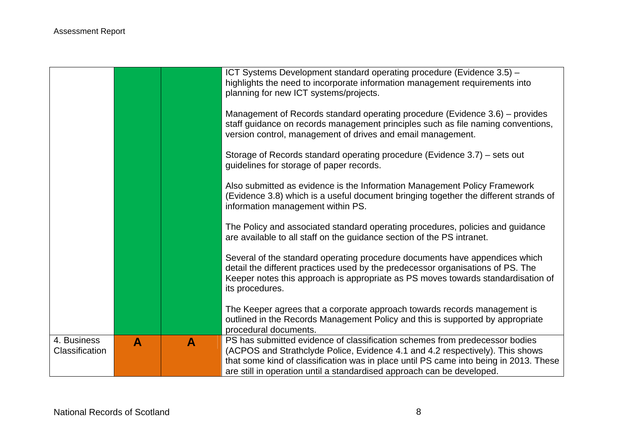|                               |   |   | ICT Systems Development standard operating procedure (Evidence 3.5) -<br>highlights the need to incorporate information management requirements into<br>planning for new ICT systems/projects.                                                                                                                                  |
|-------------------------------|---|---|---------------------------------------------------------------------------------------------------------------------------------------------------------------------------------------------------------------------------------------------------------------------------------------------------------------------------------|
|                               |   |   | Management of Records standard operating procedure (Evidence 3.6) – provides<br>staff guidance on records management principles such as file naming conventions,<br>version control, management of drives and email management.                                                                                                 |
|                               |   |   | Storage of Records standard operating procedure (Evidence 3.7) – sets out<br>guidelines for storage of paper records.                                                                                                                                                                                                           |
|                               |   |   | Also submitted as evidence is the Information Management Policy Framework<br>(Evidence 3.8) which is a useful document bringing together the different strands of<br>information management within PS.                                                                                                                          |
|                               |   |   | The Policy and associated standard operating procedures, policies and guidance<br>are available to all staff on the guidance section of the PS intranet.                                                                                                                                                                        |
|                               |   |   | Several of the standard operating procedure documents have appendices which<br>detail the different practices used by the predecessor organisations of PS. The<br>Keeper notes this approach is appropriate as PS moves towards standardisation of<br>its procedures.                                                           |
|                               |   |   | The Keeper agrees that a corporate approach towards records management is<br>outlined in the Records Management Policy and this is supported by appropriate<br>procedural documents.                                                                                                                                            |
| 4. Business<br>Classification | A | A | PS has submitted evidence of classification schemes from predecessor bodies<br>(ACPOS and Strathclyde Police, Evidence 4.1 and 4.2 respectively). This shows<br>that some kind of classification was in place until PS came into being in 2013. These<br>are still in operation until a standardised approach can be developed. |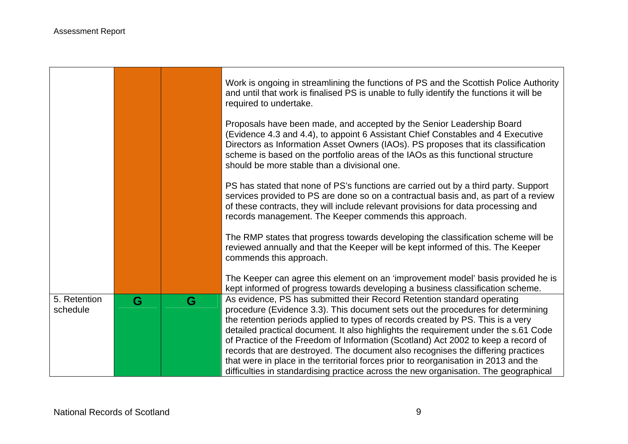|                          |   |   | Work is ongoing in streamlining the functions of PS and the Scottish Police Authority<br>and until that work is finalised PS is unable to fully identify the functions it will be<br>required to undertake.                                                                                                                                                                      |
|--------------------------|---|---|----------------------------------------------------------------------------------------------------------------------------------------------------------------------------------------------------------------------------------------------------------------------------------------------------------------------------------------------------------------------------------|
|                          |   |   | Proposals have been made, and accepted by the Senior Leadership Board<br>(Evidence 4.3 and 4.4), to appoint 6 Assistant Chief Constables and 4 Executive<br>Directors as Information Asset Owners (IAOs). PS proposes that its classification<br>scheme is based on the portfolio areas of the IAOs as this functional structure<br>should be more stable than a divisional one. |
|                          |   |   | PS has stated that none of PS's functions are carried out by a third party. Support<br>services provided to PS are done so on a contractual basis and, as part of a review<br>of these contracts, they will include relevant provisions for data processing and<br>records management. The Keeper commends this approach.                                                        |
|                          |   |   | The RMP states that progress towards developing the classification scheme will be<br>reviewed annually and that the Keeper will be kept informed of this. The Keeper<br>commends this approach.                                                                                                                                                                                  |
|                          |   |   | The Keeper can agree this element on an 'improvement model' basis provided he is<br>kept informed of progress towards developing a business classification scheme.                                                                                                                                                                                                               |
| 5. Retention<br>schedule | G | G | As evidence, PS has submitted their Record Retention standard operating<br>procedure (Evidence 3.3). This document sets out the procedures for determining                                                                                                                                                                                                                       |
|                          |   |   | the retention periods applied to types of records created by PS. This is a very<br>detailed practical document. It also highlights the requirement under the s.61 Code                                                                                                                                                                                                           |
|                          |   |   | of Practice of the Freedom of Information (Scotland) Act 2002 to keep a record of<br>records that are destroyed. The document also recognises the differing practices<br>that were in place in the territorial forces prior to reorganisation in 2013 and the<br>difficulties in standardising practice across the new organisation. The geographical                            |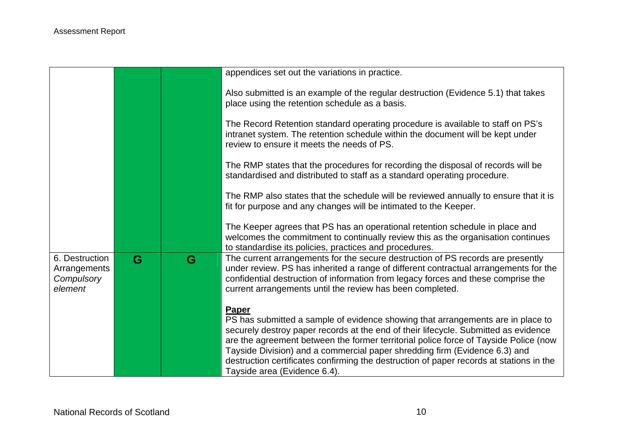|                                                         |   |   | appendices set out the variations in practice.                                                                                                                                                                                                                                                                                                                                                                                                                                   |
|---------------------------------------------------------|---|---|----------------------------------------------------------------------------------------------------------------------------------------------------------------------------------------------------------------------------------------------------------------------------------------------------------------------------------------------------------------------------------------------------------------------------------------------------------------------------------|
|                                                         |   |   | Also submitted is an example of the regular destruction (Evidence 5.1) that takes<br>place using the retention schedule as a basis.                                                                                                                                                                                                                                                                                                                                              |
|                                                         |   |   | The Record Retention standard operating procedure is available to staff on PS's<br>intranet system. The retention schedule within the document will be kept under<br>review to ensure it meets the needs of PS.                                                                                                                                                                                                                                                                  |
|                                                         |   |   | The RMP states that the procedures for recording the disposal of records will be<br>standardised and distributed to staff as a standard operating procedure.                                                                                                                                                                                                                                                                                                                     |
|                                                         |   |   | The RMP also states that the schedule will be reviewed annually to ensure that it is<br>fit for purpose and any changes will be intimated to the Keeper.                                                                                                                                                                                                                                                                                                                         |
|                                                         |   |   | The Keeper agrees that PS has an operational retention schedule in place and<br>welcomes the commitment to continually review this as the organisation continues<br>to standardise its policies, practices and procedures.                                                                                                                                                                                                                                                       |
| 6. Destruction<br>Arrangements<br>Compulsory<br>element | G | G | The current arrangements for the secure destruction of PS records are presently<br>under review. PS has inherited a range of different contractual arrangements for the<br>confidential destruction of information from legacy forces and these comprise the<br>current arrangements until the review has been completed.                                                                                                                                                        |
|                                                         |   |   | Paper<br>PS has submitted a sample of evidence showing that arrangements are in place to<br>securely destroy paper records at the end of their lifecycle. Submitted as evidence<br>are the agreement between the former territorial police force of Tayside Police (now<br>Tayside Division) and a commercial paper shredding firm (Evidence 6.3) and<br>destruction certificates confirming the destruction of paper records at stations in the<br>Tayside area (Evidence 6.4). |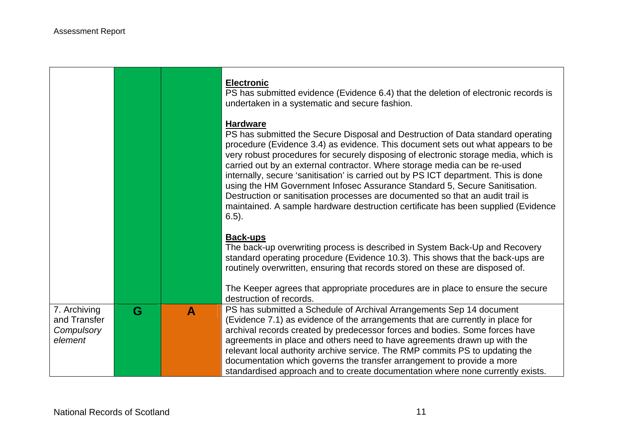|                                                       |   |              | <b>Electronic</b><br>PS has submitted evidence (Evidence 6.4) that the deletion of electronic records is<br>undertaken in a systematic and secure fashion.                                                                                                                                                                                                                                                                                                                                                                                                                                                                                                                                                        |
|-------------------------------------------------------|---|--------------|-------------------------------------------------------------------------------------------------------------------------------------------------------------------------------------------------------------------------------------------------------------------------------------------------------------------------------------------------------------------------------------------------------------------------------------------------------------------------------------------------------------------------------------------------------------------------------------------------------------------------------------------------------------------------------------------------------------------|
|                                                       |   |              | <b>Hardware</b><br>PS has submitted the Secure Disposal and Destruction of Data standard operating<br>procedure (Evidence 3.4) as evidence. This document sets out what appears to be<br>very robust procedures for securely disposing of electronic storage media, which is<br>carried out by an external contractor. Where storage media can be re-used<br>internally, secure 'sanitisation' is carried out by PS ICT department. This is done<br>using the HM Government Infosec Assurance Standard 5, Secure Sanitisation.<br>Destruction or sanitisation processes are documented so that an audit trail is<br>maintained. A sample hardware destruction certificate has been supplied (Evidence<br>$6.5$ ). |
|                                                       |   |              | <b>Back-ups</b><br>The back-up overwriting process is described in System Back-Up and Recovery<br>standard operating procedure (Evidence 10.3). This shows that the back-ups are<br>routinely overwritten, ensuring that records stored on these are disposed of.<br>The Keeper agrees that appropriate procedures are in place to ensure the secure                                                                                                                                                                                                                                                                                                                                                              |
|                                                       |   |              | destruction of records.                                                                                                                                                                                                                                                                                                                                                                                                                                                                                                                                                                                                                                                                                           |
| 7. Archiving<br>and Transfer<br>Compulsory<br>element | G | $\mathbf{A}$ | PS has submitted a Schedule of Archival Arrangements Sep 14 document<br>(Evidence 7.1) as evidence of the arrangements that are currently in place for<br>archival records created by predecessor forces and bodies. Some forces have<br>agreements in place and others need to have agreements drawn up with the                                                                                                                                                                                                                                                                                                                                                                                                 |
|                                                       |   |              | relevant local authority archive service. The RMP commits PS to updating the<br>documentation which governs the transfer arrangement to provide a more<br>standardised approach and to create documentation where none currently exists.                                                                                                                                                                                                                                                                                                                                                                                                                                                                          |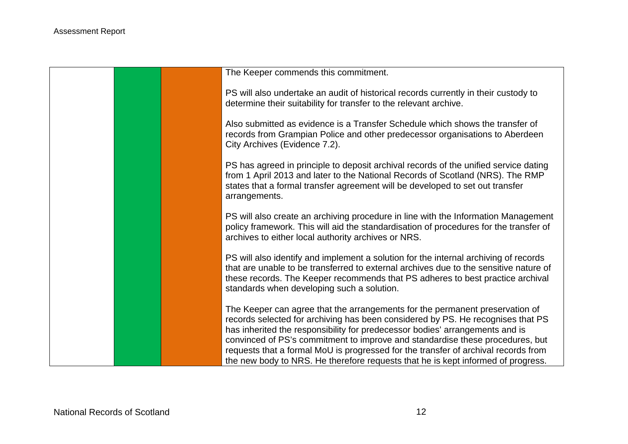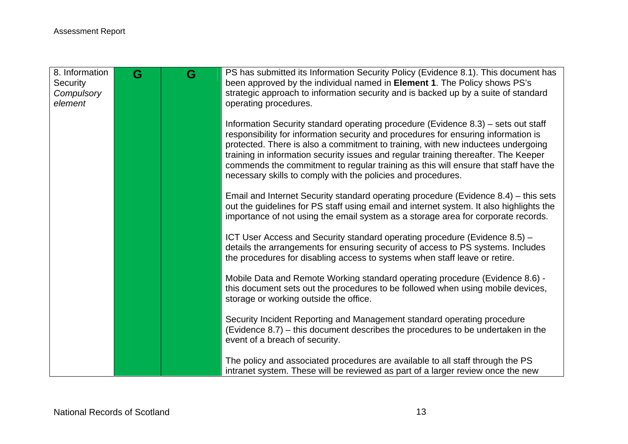| 8. Information<br>Security | G | G | PS has submitted its Information Security Policy (Evidence 8.1). This document has<br>been approved by the individual named in <b>Element 1</b> . The Policy shows PS's                                                                                                                                                                                                                                                                                                                                   |
|----------------------------|---|---|-----------------------------------------------------------------------------------------------------------------------------------------------------------------------------------------------------------------------------------------------------------------------------------------------------------------------------------------------------------------------------------------------------------------------------------------------------------------------------------------------------------|
| Compulsory                 |   |   | strategic approach to information security and is backed up by a suite of standard                                                                                                                                                                                                                                                                                                                                                                                                                        |
| element                    |   |   | operating procedures.                                                                                                                                                                                                                                                                                                                                                                                                                                                                                     |
|                            |   |   | Information Security standard operating procedure (Evidence 8.3) – sets out staff<br>responsibility for information security and procedures for ensuring information is<br>protected. There is also a commitment to training, with new inductees undergoing<br>training in information security issues and regular training thereafter. The Keeper<br>commends the commitment to regular training as this will ensure that staff have the<br>necessary skills to comply with the policies and procedures. |
|                            |   |   | Email and Internet Security standard operating procedure (Evidence 8.4) – this sets<br>out the guidelines for PS staff using email and internet system. It also highlights the<br>importance of not using the email system as a storage area for corporate records.                                                                                                                                                                                                                                       |
|                            |   |   | ICT User Access and Security standard operating procedure (Evidence 8.5) -<br>details the arrangements for ensuring security of access to PS systems. Includes<br>the procedures for disabling access to systems when staff leave or retire.                                                                                                                                                                                                                                                              |
|                            |   |   | Mobile Data and Remote Working standard operating procedure (Evidence 8.6) -<br>this document sets out the procedures to be followed when using mobile devices,<br>storage or working outside the office.                                                                                                                                                                                                                                                                                                 |
|                            |   |   | Security Incident Reporting and Management standard operating procedure<br>(Evidence 8.7) – this document describes the procedures to be undertaken in the<br>event of a breach of security.                                                                                                                                                                                                                                                                                                              |
|                            |   |   | The policy and associated procedures are available to all staff through the PS<br>intranet system. These will be reviewed as part of a larger review once the new                                                                                                                                                                                                                                                                                                                                         |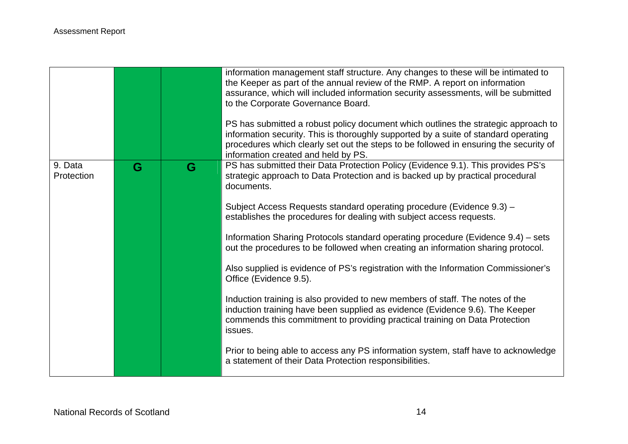|                       |   |   | information management staff structure. Any changes to these will be intimated to<br>the Keeper as part of the annual review of the RMP. A report on information<br>assurance, which will included information security assessments, will be submitted<br>to the Corporate Governance Board.<br>PS has submitted a robust policy document which outlines the strategic approach to<br>information security. This is thoroughly supported by a suite of standard operating<br>procedures which clearly set out the steps to be followed in ensuring the security of |
|-----------------------|---|---|--------------------------------------------------------------------------------------------------------------------------------------------------------------------------------------------------------------------------------------------------------------------------------------------------------------------------------------------------------------------------------------------------------------------------------------------------------------------------------------------------------------------------------------------------------------------|
| 9. Data<br>Protection | G | G | information created and held by PS.<br>PS has submitted their Data Protection Policy (Evidence 9.1). This provides PS's<br>strategic approach to Data Protection and is backed up by practical procedural<br>documents.                                                                                                                                                                                                                                                                                                                                            |
|                       |   |   | Subject Access Requests standard operating procedure (Evidence 9.3) -<br>establishes the procedures for dealing with subject access requests.                                                                                                                                                                                                                                                                                                                                                                                                                      |
|                       |   |   | Information Sharing Protocols standard operating procedure (Evidence 9.4) – sets<br>out the procedures to be followed when creating an information sharing protocol.                                                                                                                                                                                                                                                                                                                                                                                               |
|                       |   |   | Also supplied is evidence of PS's registration with the Information Commissioner's<br>Office (Evidence 9.5).                                                                                                                                                                                                                                                                                                                                                                                                                                                       |
|                       |   |   | Induction training is also provided to new members of staff. The notes of the<br>induction training have been supplied as evidence (Evidence 9.6). The Keeper<br>commends this commitment to providing practical training on Data Protection<br>issues.                                                                                                                                                                                                                                                                                                            |
|                       |   |   | Prior to being able to access any PS information system, staff have to acknowledge<br>a statement of their Data Protection responsibilities.                                                                                                                                                                                                                                                                                                                                                                                                                       |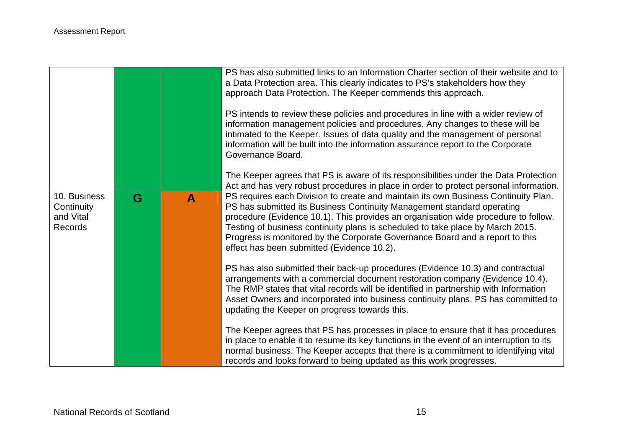|                                                    |   |   | PS has also submitted links to an Information Charter section of their website and to<br>a Data Protection area. This clearly indicates to PS's stakeholders how they<br>approach Data Protection. The Keeper commends this approach.<br>PS intends to review these policies and procedures in line with a wider review of<br>information management policies and procedures. Any changes to these will be<br>intimated to the Keeper. Issues of data quality and the management of personal<br>information will be built into the information assurance report to the Corporate<br>Governance Board. |
|----------------------------------------------------|---|---|-------------------------------------------------------------------------------------------------------------------------------------------------------------------------------------------------------------------------------------------------------------------------------------------------------------------------------------------------------------------------------------------------------------------------------------------------------------------------------------------------------------------------------------------------------------------------------------------------------|
|                                                    |   |   | The Keeper agrees that PS is aware of its responsibilities under the Data Protection<br>Act and has very robust procedures in place in order to protect personal information.                                                                                                                                                                                                                                                                                                                                                                                                                         |
| 10. Business<br>Continuity<br>and Vital<br>Records | G | A | PS requires each Division to create and maintain its own Business Continuity Plan.<br>PS has submitted its Business Continuity Management standard operating<br>procedure (Evidence 10.1). This provides an organisation wide procedure to follow.<br>Testing of business continuity plans is scheduled to take place by March 2015.<br>Progress is monitored by the Corporate Governance Board and a report to this<br>effect has been submitted (Evidence 10.2).                                                                                                                                    |
|                                                    |   |   | PS has also submitted their back-up procedures (Evidence 10.3) and contractual<br>arrangements with a commercial document restoration company (Evidence 10.4).<br>The RMP states that vital records will be identified in partnership with Information<br>Asset Owners and incorporated into business continuity plans. PS has committed to<br>updating the Keeper on progress towards this.                                                                                                                                                                                                          |
|                                                    |   |   | The Keeper agrees that PS has processes in place to ensure that it has procedures<br>in place to enable it to resume its key functions in the event of an interruption to its<br>normal business. The Keeper accepts that there is a commitment to identifying vital<br>records and looks forward to being updated as this work progresses.                                                                                                                                                                                                                                                           |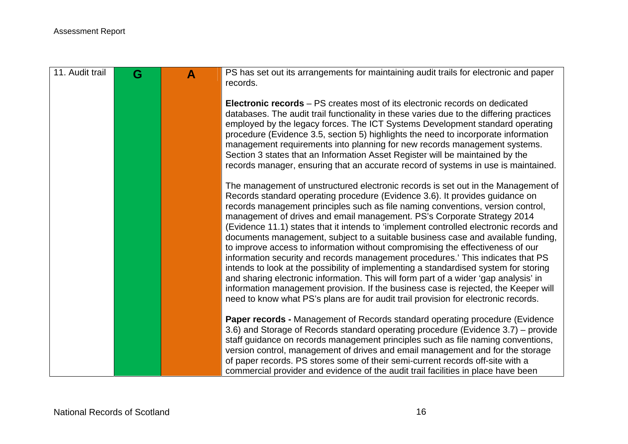| 11. Audit trail | G | $\blacktriangle$ | PS has set out its arrangements for maintaining audit trails for electronic and paper                                                                                      |
|-----------------|---|------------------|----------------------------------------------------------------------------------------------------------------------------------------------------------------------------|
|                 |   |                  | records.                                                                                                                                                                   |
|                 |   |                  | <b>Electronic records</b> – PS creates most of its electronic records on dedicated                                                                                         |
|                 |   |                  | databases. The audit trail functionality in these varies due to the differing practices<br>employed by the legacy forces. The ICT Systems Development standard operating   |
|                 |   |                  | procedure (Evidence 3.5, section 5) highlights the need to incorporate information                                                                                         |
|                 |   |                  | management requirements into planning for new records management systems.<br>Section 3 states that an Information Asset Register will be maintained by the                 |
|                 |   |                  | records manager, ensuring that an accurate record of systems in use is maintained.                                                                                         |
|                 |   |                  | The management of unstructured electronic records is set out in the Management of                                                                                          |
|                 |   |                  | Records standard operating procedure (Evidence 3.6). It provides guidance on<br>records management principles such as file naming conventions, version control,            |
|                 |   |                  | management of drives and email management. PS's Corporate Strategy 2014                                                                                                    |
|                 |   |                  | (Evidence 11.1) states that it intends to 'implement controlled electronic records and<br>documents management, subject to a suitable business case and available funding, |
|                 |   |                  | to improve access to information without compromising the effectiveness of our                                                                                             |
|                 |   |                  | information security and records management procedures.' This indicates that PS<br>intends to look at the possibility of implementing a standardised system for storing    |
|                 |   |                  | and sharing electronic information. This will form part of a wider 'gap analysis' in                                                                                       |
|                 |   |                  | information management provision. If the business case is rejected, the Keeper will<br>need to know what PS's plans are for audit trail provision for electronic records.  |
|                 |   |                  |                                                                                                                                                                            |
|                 |   |                  | Paper records - Management of Records standard operating procedure (Evidence<br>3.6) and Storage of Records standard operating procedure (Evidence 3.7) – provide          |
|                 |   |                  | staff guidance on records management principles such as file naming conventions,                                                                                           |
|                 |   |                  | version control, management of drives and email management and for the storage<br>of paper records. PS stores some of their semi-current records off-site with a           |
|                 |   |                  | commercial provider and evidence of the audit trail facilities in place have been                                                                                          |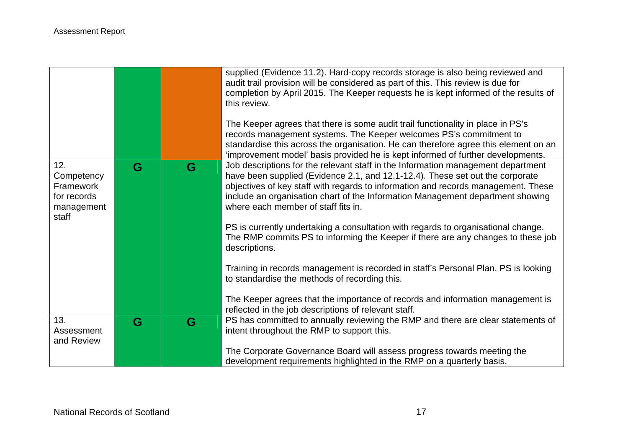|                                                                      |   |   | supplied (Evidence 11.2). Hard-copy records storage is also being reviewed and<br>audit trail provision will be considered as part of this. This review is due for<br>completion by April 2015. The Keeper requests he is kept informed of the results of<br>this review.<br>The Keeper agrees that there is some audit trail functionality in place in PS's<br>records management systems. The Keeper welcomes PS's commitment to<br>standardise this across the organisation. He can therefore agree this element on an<br>'improvement model' basis provided he is kept informed of further developments.                                                                                                     |
|----------------------------------------------------------------------|---|---|------------------------------------------------------------------------------------------------------------------------------------------------------------------------------------------------------------------------------------------------------------------------------------------------------------------------------------------------------------------------------------------------------------------------------------------------------------------------------------------------------------------------------------------------------------------------------------------------------------------------------------------------------------------------------------------------------------------|
| 12.<br>Competency<br>Framework<br>for records<br>management<br>staff | G | G | Job descriptions for the relevant staff in the Information management department<br>have been supplied (Evidence 2.1, and 12.1-12.4). These set out the corporate<br>objectives of key staff with regards to information and records management. These<br>include an organisation chart of the Information Management department showing<br>where each member of staff fits in.<br>PS is currently undertaking a consultation with regards to organisational change.<br>The RMP commits PS to informing the Keeper if there are any changes to these job<br>descriptions.<br>Training in records management is recorded in staff's Personal Plan. PS is looking<br>to standardise the methods of recording this. |
|                                                                      |   |   | The Keeper agrees that the importance of records and information management is<br>reflected in the job descriptions of relevant staff.                                                                                                                                                                                                                                                                                                                                                                                                                                                                                                                                                                           |
| 13.<br>Assessment<br>and Review                                      | G | G | PS has committed to annually reviewing the RMP and there are clear statements of<br>intent throughout the RMP to support this.<br>The Corporate Governance Board will assess progress towards meeting the                                                                                                                                                                                                                                                                                                                                                                                                                                                                                                        |
|                                                                      |   |   | development requirements highlighted in the RMP on a quarterly basis,                                                                                                                                                                                                                                                                                                                                                                                                                                                                                                                                                                                                                                            |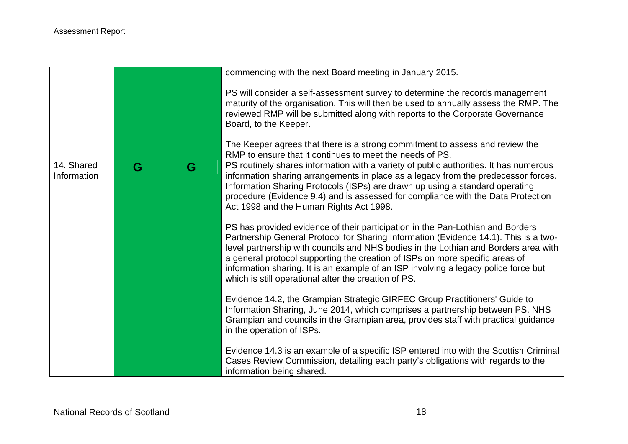|                           |   |   | commencing with the next Board meeting in January 2015.                                                                                                                                                                                                                                                                                                                                                                                                                                      |
|---------------------------|---|---|----------------------------------------------------------------------------------------------------------------------------------------------------------------------------------------------------------------------------------------------------------------------------------------------------------------------------------------------------------------------------------------------------------------------------------------------------------------------------------------------|
|                           |   |   | PS will consider a self-assessment survey to determine the records management<br>maturity of the organisation. This will then be used to annually assess the RMP. The<br>reviewed RMP will be submitted along with reports to the Corporate Governance<br>Board, to the Keeper.<br>The Keeper agrees that there is a strong commitment to assess and review the                                                                                                                              |
|                           |   |   | RMP to ensure that it continues to meet the needs of PS.                                                                                                                                                                                                                                                                                                                                                                                                                                     |
| 14. Shared<br>Information | G | G | PS routinely shares information with a variety of public authorities. It has numerous<br>information sharing arrangements in place as a legacy from the predecessor forces.<br>Information Sharing Protocols (ISPs) are drawn up using a standard operating<br>procedure (Evidence 9.4) and is assessed for compliance with the Data Protection<br>Act 1998 and the Human Rights Act 1998.                                                                                                   |
|                           |   |   | PS has provided evidence of their participation in the Pan-Lothian and Borders<br>Partnership General Protocol for Sharing Information (Evidence 14.1). This is a two-<br>level partnership with councils and NHS bodies in the Lothian and Borders area with<br>a general protocol supporting the creation of ISPs on more specific areas of<br>information sharing. It is an example of an ISP involving a legacy police force but<br>which is still operational after the creation of PS. |
|                           |   |   | Evidence 14.2, the Grampian Strategic GIRFEC Group Practitioners' Guide to<br>Information Sharing, June 2014, which comprises a partnership between PS, NHS<br>Grampian and councils in the Grampian area, provides staff with practical guidance<br>in the operation of ISPs.                                                                                                                                                                                                               |
|                           |   |   | Evidence 14.3 is an example of a specific ISP entered into with the Scottish Criminal<br>Cases Review Commission, detailing each party's obligations with regards to the<br>information being shared.                                                                                                                                                                                                                                                                                        |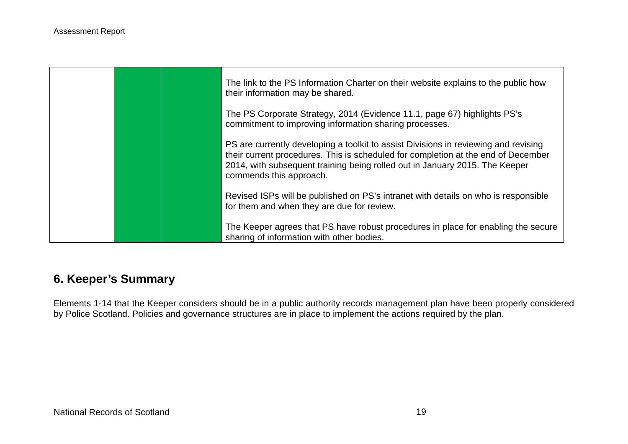

# **6. Keeper's Summary**

Elements 1-14 that the Keeper considers should be in a public authority records management plan have been properly considered by Police Scotland. Policies and governance structures are in place to implement the actions required by the plan.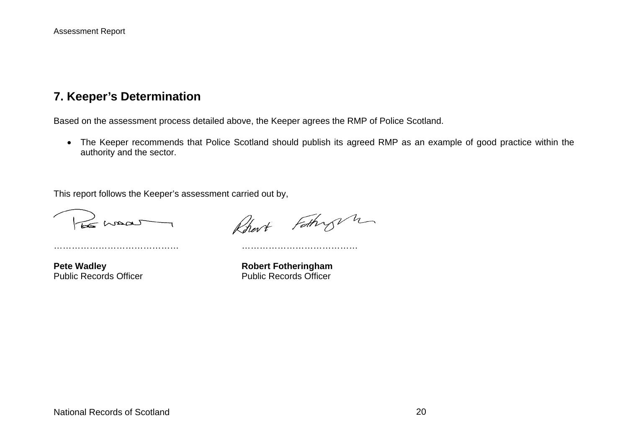# **7. Keeper's Determination**

Based on the assessment process detailed above, the Keeper agrees the RMP of Police Scotland.

 The Keeper recommends that Police Scotland should publish its agreed RMP as an example of good practice within the authority and the sector.

This report follows the Keeper's assessment carried out by,

…………………………………… …………………………………

Le maar

Rhert Fathry m

**Pete Wadley Manual Public Records Officer Manual Public Records Officer Public Records Officer** Public Records Officer